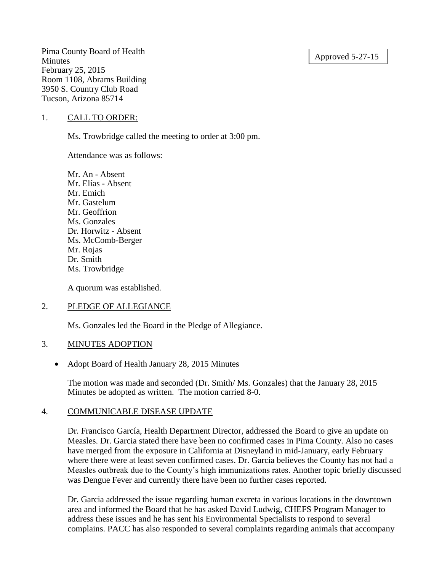### Approved 5-27-15

Pima County Board of Health **Minutes** February 25, 2015 Room 1108, Abrams Building 3950 S. Country Club Road Tucson, Arizona 85714

### 1. CALL TO ORDER:

Ms. Trowbridge called the meeting to order at 3:00 pm.

Attendance was as follows:

Mr. An - Absent Mr. Elías - Absent Mr. Emich Mr. Gastelum Mr. Geoffrion Ms. Gonzales Dr. Horwitz - Absent Ms. McComb-Berger Mr. Rojas Dr. Smith Ms. Trowbridge

A quorum was established.

# 2. PLEDGE OF ALLEGIANCE

Ms. Gonzales led the Board in the Pledge of Allegiance.

#### 3. MINUTES ADOPTION

• Adopt Board of Health January 28, 2015 Minutes

The motion was made and seconded (Dr. Smith/ Ms. Gonzales) that the January 28, 2015 Minutes be adopted as written. The motion carried 8-0.

# 4. COMMUNICABLE DISEASE UPDATE

Dr. Francisco García, Health Department Director, addressed the Board to give an update on Measles. Dr. Garcia stated there have been no confirmed cases in Pima County. Also no cases have merged from the exposure in California at Disneyland in mid-January, early February where there were at least seven confirmed cases. Dr. Garcia believes the County has not had a Measles outbreak due to the County's high immunizations rates. Another topic briefly discussed was Dengue Fever and currently there have been no further cases reported.

Dr. Garcia addressed the issue regarding human excreta in various locations in the downtown area and informed the Board that he has asked David Ludwig, CHEFS Program Manager to address these issues and he has sent his Environmental Specialists to respond to several complains. PACC has also responded to several complaints regarding animals that accompany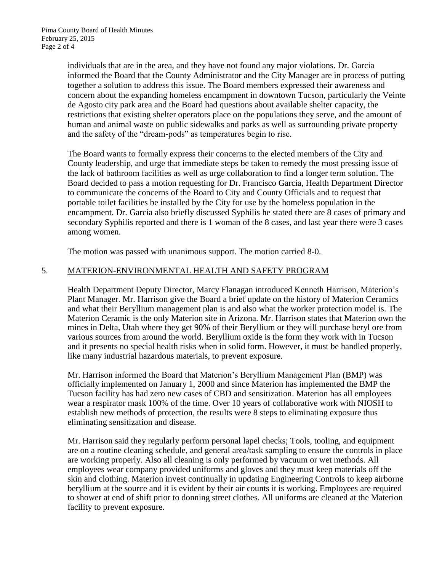individuals that are in the area, and they have not found any major violations. Dr. Garcia informed the Board that the County Administrator and the City Manager are in process of putting together a solution to address this issue. The Board members expressed their awareness and concern about the expanding homeless encampment in downtown Tucson, particularly the Veinte de Agosto city park area and the Board had questions about available shelter capacity, the restrictions that existing shelter operators place on the populations they serve, and the amount of human and animal waste on public sidewalks and parks as well as surrounding private property and the safety of the "dream-pods" as temperatures begin to rise.

The Board wants to formally express their concerns to the elected members of the City and County leadership, and urge that immediate steps be taken to remedy the most pressing issue of the lack of bathroom facilities as well as urge collaboration to find a longer term solution. The Board decided to pass a motion requesting for Dr. Francisco García, Health Department Director to communicate the concerns of the Board to City and County Officials and to request that portable toilet facilities be installed by the City for use by the homeless population in the encampment. Dr. Garcia also briefly discussed Syphilis he stated there are 8 cases of primary and secondary Syphilis reported and there is 1 woman of the 8 cases, and last year there were 3 cases among women.

The motion was passed with unanimous support. The motion carried 8-0.

# 5. MATERION-ENVIRONMENTAL HEALTH AND SAFETY PROGRAM

Health Department Deputy Director, Marcy Flanagan introduced Kenneth Harrison, Materion's Plant Manager. Mr. Harrison give the Board a brief update on the history of Materion Ceramics and what their Beryllium management plan is and also what the worker protection model is. The Materion Ceramic is the only Materion site in Arizona. Mr. Harrison states that Materion own the mines in Delta, Utah where they get 90% of their Beryllium or they will purchase beryl ore from various sources from around the world. Beryllium oxide is the form they work with in Tucson and it presents no special health risks when in solid form. However, it must be handled properly, like many industrial hazardous materials, to prevent exposure.

Mr. Harrison informed the Board that Materion's Beryllium Management Plan (BMP) was officially implemented on January 1, 2000 and since Materion has implemented the BMP the Tucson facility has had zero new cases of CBD and sensitization. Materion has all employees wear a respirator mask 100% of the time. Over 10 years of collaborative work with NIOSH to establish new methods of protection, the results were 8 steps to eliminating exposure thus eliminating sensitization and disease.

Mr. Harrison said they regularly perform personal lapel checks; Tools, tooling, and equipment are on a routine cleaning schedule, and general area/task sampling to ensure the controls in place are working properly. Also all cleaning is only performed by vacuum or wet methods. All employees wear company provided uniforms and gloves and they must keep materials off the skin and clothing. Materion invest continually in updating Engineering Controls to keep airborne beryllium at the source and it is evident by their air counts it is working. Employees are required to shower at end of shift prior to donning street clothes. All uniforms are cleaned at the Materion facility to prevent exposure.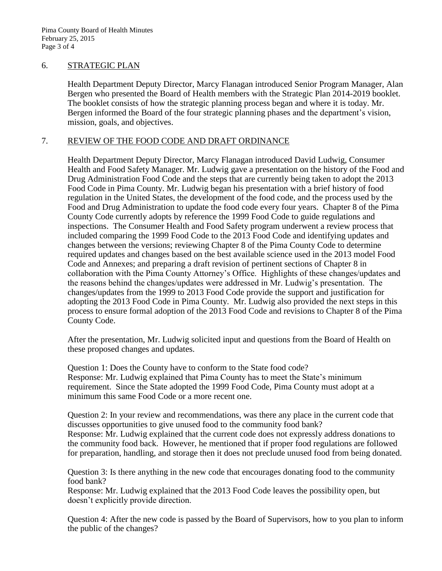#### 6. STRATEGIC PLAN

Health Department Deputy Director, Marcy Flanagan introduced Senior Program Manager, Alan Bergen who presented the Board of Health members with the Strategic Plan 2014-2019 booklet. The booklet consists of how the strategic planning process began and where it is today. Mr. Bergen informed the Board of the four strategic planning phases and the department's vision, mission, goals, and objectives.

# 7. REVIEW OF THE FOOD CODE AND DRAFT ORDINANCE

Health Department Deputy Director, Marcy Flanagan introduced David Ludwig, Consumer Health and Food Safety Manager. Mr. Ludwig gave a presentation on the history of the Food and Drug Administration Food Code and the steps that are currently being taken to adopt the 2013 Food Code in Pima County. Mr. Ludwig began his presentation with a brief history of food regulation in the United States, the development of the food code, and the process used by the Food and Drug Administration to update the food code every four years. Chapter 8 of the Pima County Code currently adopts by reference the 1999 Food Code to guide regulations and inspections. The Consumer Health and Food Safety program underwent a review process that included comparing the 1999 Food Code to the 2013 Food Code and identifying updates and changes between the versions; reviewing Chapter 8 of the Pima County Code to determine required updates and changes based on the best available science used in the 2013 model Food Code and Annexes; and preparing a draft revision of pertinent sections of Chapter 8 in collaboration with the Pima County Attorney's Office. Highlights of these changes/updates and the reasons behind the changes/updates were addressed in Mr. Ludwig's presentation. The changes/updates from the 1999 to 2013 Food Code provide the support and justification for adopting the 2013 Food Code in Pima County. Mr. Ludwig also provided the next steps in this process to ensure formal adoption of the 2013 Food Code and revisions to Chapter 8 of the Pima County Code.

After the presentation, Mr. Ludwig solicited input and questions from the Board of Health on these proposed changes and updates.

Question 1: Does the County have to conform to the State food code? Response: Mr. Ludwig explained that Pima County has to meet the State's minimum requirement. Since the State adopted the 1999 Food Code, Pima County must adopt at a minimum this same Food Code or a more recent one.

Question 2: In your review and recommendations, was there any place in the current code that discusses opportunities to give unused food to the community food bank? Response: Mr. Ludwig explained that the current code does not expressly address donations to the community food back. However, he mentioned that if proper food regulations are followed for preparation, handling, and storage then it does not preclude unused food from being donated.

Question 3: Is there anything in the new code that encourages donating food to the community food bank?

Response: Mr. Ludwig explained that the 2013 Food Code leaves the possibility open, but doesn't explicitly provide direction.

Question 4: After the new code is passed by the Board of Supervisors, how to you plan to inform the public of the changes?